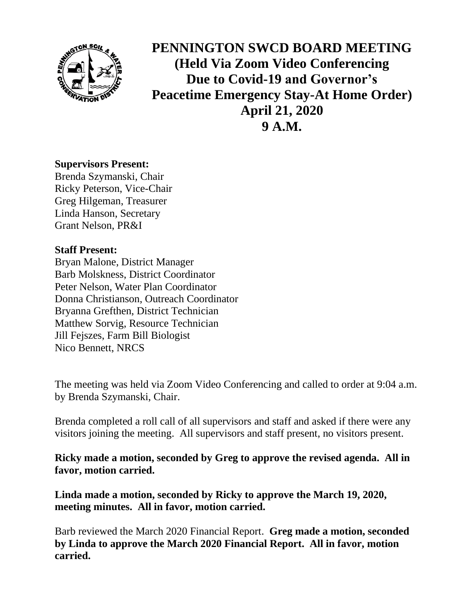

**PENNINGTON SWCD BOARD MEETING (Held Via Zoom Video Conferencing Due to Covid-19 and Governor's Peacetime Emergency Stay-At Home Order) April 21, 2020 9 A.M.**

## **Supervisors Present:**

Brenda Szymanski, Chair Ricky Peterson, Vice-Chair Greg Hilgeman, Treasurer Linda Hanson, Secretary Grant Nelson, PR&I

## **Staff Present:**

Bryan Malone, District Manager Barb Molskness, District Coordinator Peter Nelson, Water Plan Coordinator Donna Christianson, Outreach Coordinator Bryanna Grefthen, District Technician Matthew Sorvig, Resource Technician Jill Fejszes, Farm Bill Biologist Nico Bennett, NRCS

The meeting was held via Zoom Video Conferencing and called to order at 9:04 a.m. by Brenda Szymanski, Chair.

Brenda completed a roll call of all supervisors and staff and asked if there were any visitors joining the meeting. All supervisors and staff present, no visitors present.

**Ricky made a motion, seconded by Greg to approve the revised agenda. All in favor, motion carried.**

**Linda made a motion, seconded by Ricky to approve the March 19, 2020, meeting minutes. All in favor, motion carried.**

Barb reviewed the March 2020 Financial Report. **Greg made a motion, seconded by Linda to approve the March 2020 Financial Report. All in favor, motion carried.**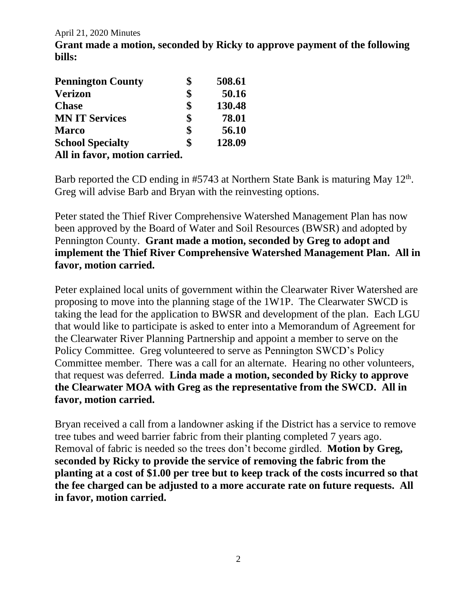April 21, 2020 Minutes

**Grant made a motion, seconded by Ricky to approve payment of the following bills:**

| <b>Pennington County</b>      | \$<br>508.61 |
|-------------------------------|--------------|
| <b>Verizon</b>                | \$<br>50.16  |
| <b>Chase</b>                  | \$<br>130.48 |
| <b>MN IT Services</b>         | \$<br>78.01  |
| <b>Marco</b>                  | \$<br>56.10  |
| <b>School Specialty</b>       | \$<br>128.09 |
| All in favor, motion carried. |              |

Barb reported the CD ending in  $#5743$  at Northern State Bank is maturing May  $12<sup>th</sup>$ . Greg will advise Barb and Bryan with the reinvesting options.

Peter stated the Thief River Comprehensive Watershed Management Plan has now been approved by the Board of Water and Soil Resources (BWSR) and adopted by Pennington County. **Grant made a motion, seconded by Greg to adopt and implement the Thief River Comprehensive Watershed Management Plan. All in favor, motion carried.**

Peter explained local units of government within the Clearwater River Watershed are proposing to move into the planning stage of the 1W1P. The Clearwater SWCD is taking the lead for the application to BWSR and development of the plan. Each LGU that would like to participate is asked to enter into a Memorandum of Agreement for the Clearwater River Planning Partnership and appoint a member to serve on the Policy Committee. Greg volunteered to serve as Pennington SWCD's Policy Committee member. There was a call for an alternate. Hearing no other volunteers, that request was deferred. **Linda made a motion, seconded by Ricky to approve the Clearwater MOA with Greg as the representative from the SWCD. All in favor, motion carried.**

Bryan received a call from a landowner asking if the District has a service to remove tree tubes and weed barrier fabric from their planting completed 7 years ago. Removal of fabric is needed so the trees don't become girdled. **Motion by Greg, seconded by Ricky to provide the service of removing the fabric from the planting at a cost of \$1.00 per tree but to keep track of the costs incurred so that the fee charged can be adjusted to a more accurate rate on future requests. All in favor, motion carried.**